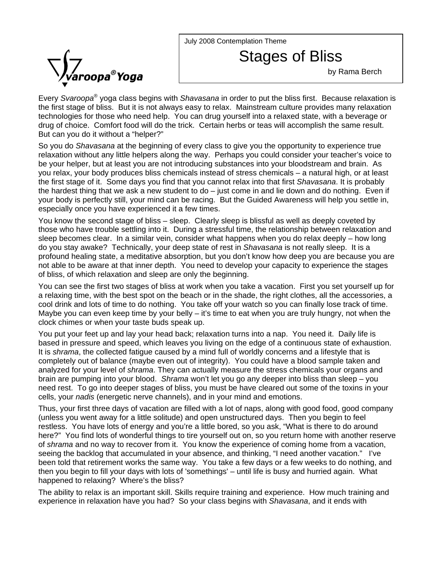July 2008 Contemplation Theme



Stages of Bliss

by Rama Berch

Every *Svaroopa*® yoga class begins with *Shavasana* in order to put the bliss first. Because relaxation is the first stage of bliss. But it is not always easy to relax. Mainstream culture provides many relaxation technologies for those who need help. You can drug yourself into a relaxed state, with a beverage or drug of choice. Comfort food will do the trick. Certain herbs or teas will accomplish the same result. But can you do it without a "helper?"

So you do *Shavasana* at the beginning of every class to give you the opportunity to experience true relaxation without any little helpers along the way. Perhaps you could consider your teacher's voice to be your helper, but at least you are not introducing substances into your bloodstream and brain. As you relax, your body produces bliss chemicals instead of stress chemicals – a natural high, or at least the first stage of it. Some days you find that you cannot relax into that first *Shavasana*. It is probably the hardest thing that we ask a new student to do – just come in and lie down and do nothing. Even if your body is perfectly still, your mind can be racing. But the Guided Awareness will help you settle in, especially once you have experienced it a few times.

You know the second stage of bliss – sleep. Clearly sleep is blissful as well as deeply coveted by those who have trouble settling into it. During a stressful time, the relationship between relaxation and sleep becomes clear. In a similar vein, consider what happens when you do relax deeply – how long do you stay awake? Technically, your deep state of rest in *Shavasana* is not really sleep. It is a profound healing state, a meditative absorption, but you don't know how deep you are because you are not able to be aware at that inner depth. You need to develop your capacity to experience the stages of bliss, of which relaxation and sleep are only the beginning.

You can see the first two stages of bliss at work when you take a vacation. First you set yourself up for a relaxing time, with the best spot on the beach or in the shade, the right clothes, all the accessories, a cool drink and lots of time to do nothing. You take off your watch so you can finally lose track of time. Maybe you can even keep time by your belly  $-$  it's time to eat when you are truly hungry, not when the clock chimes or when your taste buds speak up.

You put your feet up and lay your head back; relaxation turns into a nap. You need it. Daily life is based in pressure and speed, which leaves you living on the edge of a continuous state of exhaustion. It is *shrama*, the collected fatigue caused by a mind full of worldly concerns and a lifestyle that is completely out of balance (maybe even out of integrity). You could have a blood sample taken and analyzed for your level of *shrama*. They can actually measure the stress chemicals your organs and brain are pumping into your blood. *Shrama* won't let you go any deeper into bliss than sleep – you need rest. To go into deeper stages of bliss, you must be have cleared out some of the toxins in your cells, your *nadis* (energetic nerve channels), and in your mind and emotions.

Thus, your first three days of vacation are filled with a lot of naps, along with good food, good company (unless you went away for a little solitude) and open unstructured days. Then you begin to feel restless. You have lots of energy and you're a little bored, so you ask, "What is there to do around here?" You find lots of wonderful things to tire yourself out on, so you return home with another reserve of *shrama* and no way to recover from it. You know the experience of coming home from a vacation, seeing the backlog that accumulated in your absence, and thinking, "I need another vacation." I've been told that retirement works the same way. You take a few days or a few weeks to do nothing, and then you begin to fill your days with lots of 'somethings' – until life is busy and hurried again. What happened to relaxing? Where's the bliss?

The ability to relax is an important skill. Skills require training and experience. How much training and experience in relaxation have you had? So your class begins with *Shavasana*, and it ends with